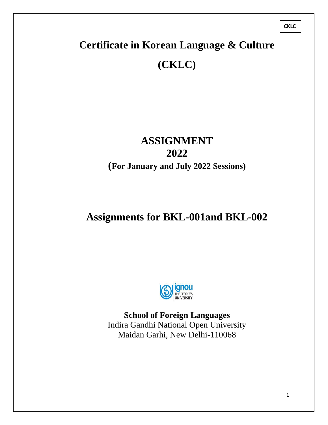# **Certificate in Korean Language & Culture (CKLC)**

## **ASSIGNMENT 2022 (For January and July 2022 Sessions)**

# **Assignments for BKL-001and BKL-002**



**School of Foreign Languages** Indira Gandhi National Open University Maidan Garhi, New Delhi-110068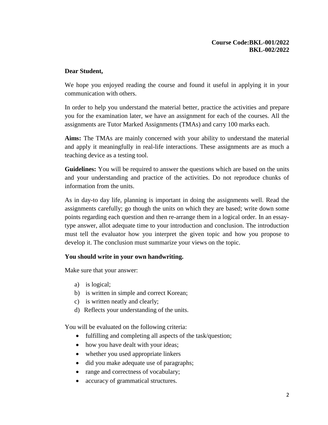#### **Course Code:BKL-001/2022 BKL-002/2022**

## **Dear Student,**

We hope you enjoyed reading the course and found it useful in applying it in your communication with others.

In order to help you understand the material better, practice the activities and prepare you for the examination later, we have an assignment for each of the courses. All the assignments are Tutor Marked Assignments (TMAs) and carry 100 marks each.

**Aims:** The TMAs are mainly concerned with your ability to understand the material and apply it meaningfully in real-life interactions. These assignments are as much a teaching device as a testing tool.

**Guidelines:** You will be required to answer the questions which are based on the units and your understanding and practice of the activities. Do not reproduce chunks of information from the units.

As in day-to day life, planning is important in doing the assignments well. Read the assignments carefully; go though the units on which they are based; write down some points regarding each question and then re-arrange them in a logical order. In an essaytype answer, allot adequate time to your introduction and conclusion. The introduction must tell the evaluator how you interpret the given topic and how you propose to develop it. The conclusion must summarize your views on the topic.

### **You should write in your own handwriting.**

Make sure that your answer:

- a) is logical;
- b) is written in simple and correct Korean;
- c) is written neatly and clearly;
- d) Reflects your understanding of the units.

You will be evaluated on the following criteria:

- fulfilling and completing all aspects of the task/question;
- how you have dealt with your ideas;
- whether you used appropriate linkers
- did you make adequate use of paragraphs;
- range and correctness of vocabulary;
- accuracy of grammatical structures.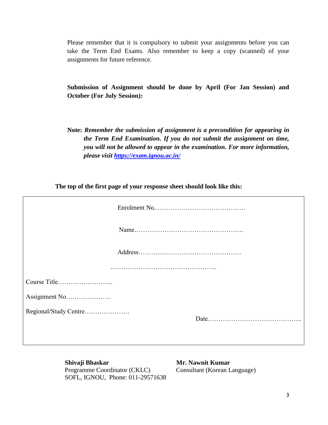Please remember that it is compulsory to submit your assignments before you can take the Term End Exams. Also remember to keep a copy (scanned) of your assignments for future reference.

**Submission of Assignment should be done by April (For Jan Session) and October (For July Session):**

**Note:** *Remember the submission of assignment is a precondition for appearing in the Term End Examination. If you do not submit the assignment on time, you will not be allowed to appear in the examination. For more information, please visit<https://exam.ignou.ac.in/>*

**The top of the first page of your response sheet should look like this:**

| Regional/Study Centre |  |
|-----------------------|--|
|                       |  |

**Shivaji Bhaskar** Mr. Nawnit Kumar Programme Coordinator (CKLC) Consultant (Korean Language) SOFL, IGNOU, Phone: 011-29571638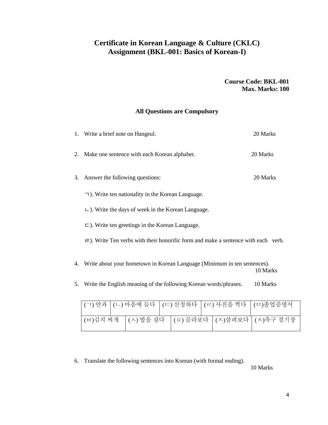## **Certificate in Korean Language & Culture (CKLC) Assignment (BKL-001: Basics of Korean-I)**

**Course Code: BKL-001 Max. Marks: 100**

## **All Questions are Compulsory**

|    | 1. Write a brief note on Hangeul.                                                                                     | 20 Marks |
|----|-----------------------------------------------------------------------------------------------------------------------|----------|
|    | 2. Make one sentence with each Korean alphabet.                                                                       | 20 Marks |
| 3. | Answer the following questions:                                                                                       | 20 Marks |
|    | $\lnot$ ). Write ten nationality in the Korean Language.                                                              |          |
|    | $\Box$ ). Write the days of week in the Korean Language.                                                              |          |
|    | $\Box$ ). Write ten greetings in the Korean Language.                                                                 |          |
|    | $\equiv$ ). Write Ten verbs with their honorific form and make a sentence with each verb.                             |          |
| 4. | Write about your hometown in Korean Language (Minimum in ten sentences).                                              | 10 Marks |
|    | $\mathcal{L} = \mathbf{W} \mathbf{U}$ , the contribution of the filter of $\mathcal{U}$ , and a set of $L$ there is a |          |

| 10 Marks |
|----------|
|          |

|  |  |  |  | (ㄱ) 안과   (ㄴ) 마음에 들다   (ㄷ) 신청하다   (ㄹ) 사진을 찍다   (ㅁ)졸업증명서 |
|--|--|--|--|--------------------------------------------------------|
|  |  |  |  | (비)김치 찌개   (ㅅ) 밥을 짖다   (ㅇ) 골라보다   (ㅈ)살펴보다   (ㅊ)축구 경기장  |

6. Translate the following sentences into Korean (with formal ending).

10 Marks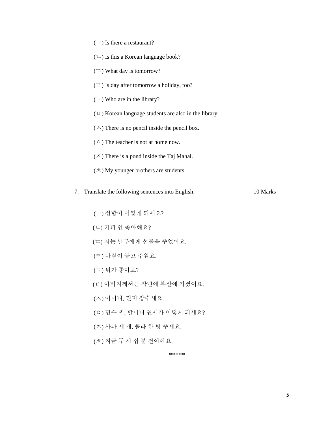- (ㄱ) Is there a restaurant?
- $(\cup)$  Is this a Korean language book?
- $(\square)$  What day is tomorrow?
- $(\equiv)$  Is day after tomorrow a holiday, too?
- $(\square)$  Who are in the library?
- $(\forall)$  Korean language students are also in the library.
- $(\wedge)$  There is no pencil inside the pencil box.
- (ㅇ) The teacher is not at home now.
- $(\times)$  There is a pond inside the Taj Mahal.
- $(\bar{\mathbf{x}})$  My younger brothers are students.
- 7. Translate the following sentences into English. 10 Marks
	- (ㄱ) 성함이 어떻게 되세요?
	- (ㄴ) 커피 안 좋아해요?
	- (ㄷ) 저는 닐루에게 선물을 주었어요.
	- (ㄹ) 바람이 불고 추워요.
	- (ㅁ) 뭐가 좋아요?
	- (ㅂ) 아버지께서는 작년에 부산에 가셨어요.
	- (ㅅ) 어머니, 진지 잡수세요.
	- (ㅇ) 민수 씨, 할머니 연세가 어떻게 되세요?
	- (ㅈ) 사과 세 개, 콜라 한 병 주세요.
	- (ㅊ) 지금 두 시 십 분 전이에요.

\*\*\*\*\*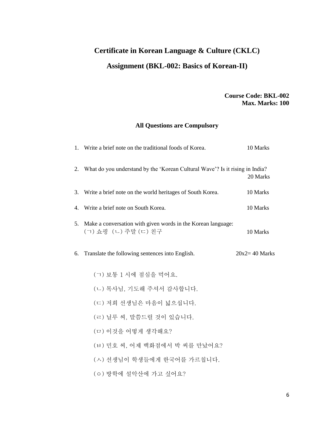## **Certificate in Korean Language & Culture (CKLC) Assignment (BKL-002: Basics of Korean-II)**

## **Course Code: BKL-002 Max. Marks: 100**

## **All Questions are Compulsory**

|    | 1. Write a brief note on the traditional foods of Korea.                             | 10 Marks          |
|----|--------------------------------------------------------------------------------------|-------------------|
|    | 2. What do you understand by the 'Korean Cultural Wave'? Is it rising in India?      | 20 Marks          |
|    | 3. Write a brief note on the world heritages of South Korea.                         | 10 Marks          |
|    | 4. Write a brief note on South Korea.                                                | 10 Marks          |
| 5. | Make a conversation with given words in the Korean language:<br>(ㄱ) 쇼핑 (ㄴ) 주말 (ㄷ) 친구 | 10 Marks          |
| 6. | Translate the following sentences into English.                                      | $20x2 = 40$ Marks |
|    | (ㄱ) 보통 1 시에 점심을 먹어요.                                                                 |                   |
|    | (ㄴ) 목사님, 기도해 주셔서 감사합니다.                                                              |                   |
|    | (ㄷ) 저희 선생님은 마음이 넓으십니다.                                                               |                   |
|    | (ㄹ) 닐루 씨, 말씀드릴 것이 있습니다.                                                              |                   |
|    | (ㅁ) 이것을 어떻게 생각해요?                                                                    |                   |
|    | (ㅂ) 민호 씨, 어제 백화점에서 박 씨를 만났어요?                                                        |                   |
|    | (ㅅ) 선생님이 학생들에게 한국어를 가르칩니다.                                                           |                   |
|    | (ㅇ) 방학에 설악산에 가고 싶어요?                                                                 |                   |